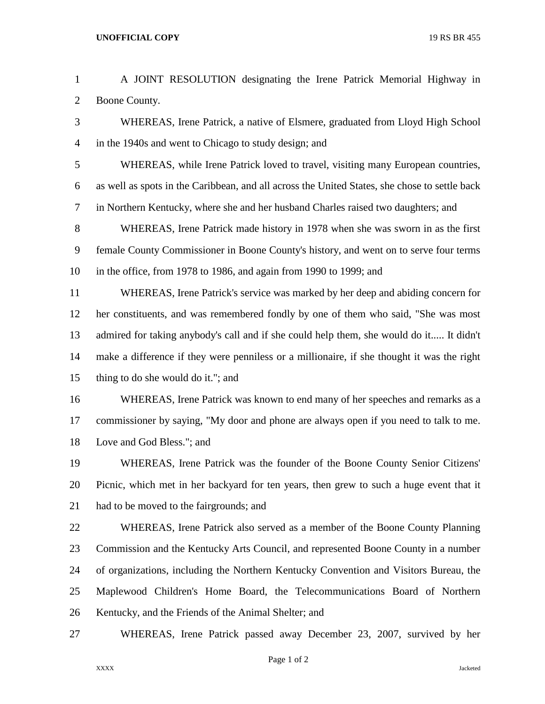## **UNOFFICIAL COPY** 19 RS BR 455

 A JOINT RESOLUTION designating the Irene Patrick Memorial Highway in Boone County. WHEREAS, Irene Patrick, a native of Elsmere, graduated from Lloyd High School in the 1940s and went to Chicago to study design; and WHEREAS, while Irene Patrick loved to travel, visiting many European countries, as well as spots in the Caribbean, and all across the United States, she chose to settle back in Northern Kentucky, where she and her husband Charles raised two daughters; and WHEREAS, Irene Patrick made history in 1978 when she was sworn in as the first female County Commissioner in Boone County's history, and went on to serve four terms in the office, from 1978 to 1986, and again from 1990 to 1999; and WHEREAS, Irene Patrick's service was marked by her deep and abiding concern for her constituents, and was remembered fondly by one of them who said, "She was most admired for taking anybody's call and if she could help them, she would do it..... It didn't make a difference if they were penniless or a millionaire, if she thought it was the right thing to do she would do it."; and WHEREAS, Irene Patrick was known to end many of her speeches and remarks as a commissioner by saying, "My door and phone are always open if you need to talk to me. Love and God Bless."; and WHEREAS, Irene Patrick was the founder of the Boone County Senior Citizens' Picnic, which met in her backyard for ten years, then grew to such a huge event that it 21 had to be moved to the fairgrounds; and WHEREAS, Irene Patrick also served as a member of the Boone County Planning Commission and the Kentucky Arts Council, and represented Boone County in a number of organizations, including the Northern Kentucky Convention and Visitors Bureau, the Maplewood Children's Home Board, the Telecommunications Board of Northern Kentucky, and the Friends of the Animal Shelter; and WHEREAS, Irene Patrick passed away December 23, 2007, survived by her

Page 1 of 2